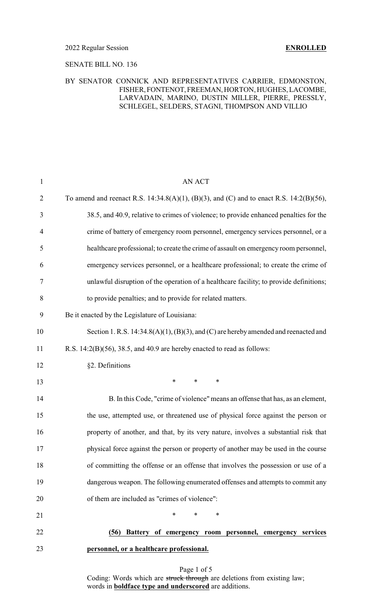#### 2022 Regular Session **ENROLLED**

### SENATE BILL NO. 136

### BY SENATOR CONNICK AND REPRESENTATIVES CARRIER, EDMONSTON, FISHER,FONTENOT,FREEMAN,HORTON, HUGHES, LACOMBE, LARVADAIN, MARINO, DUSTIN MILLER, PIERRE, PRESSLY, SCHLEGEL, SELDERS, STAGNI, THOMPSON AND VILLIO

| $\mathbf{1}$   | AN ACT                                                                                  |
|----------------|-----------------------------------------------------------------------------------------|
| $\overline{2}$ | To amend and reenact R.S. 14:34.8(A)(1), (B)(3), and (C) and to enact R.S. 14:2(B)(56), |
| 3              | 38.5, and 40.9, relative to crimes of violence; to provide enhanced penalties for the   |
| $\overline{4}$ | crime of battery of emergency room personnel, emergency services personnel, or a        |
| 5              | healthcare professional; to create the crime of assault on emergency room personnel,    |
| 6              | emergency services personnel, or a healthcare professional; to create the crime of      |
| $\tau$         | unlawful disruption of the operation of a healthcare facility; to provide definitions;  |
| 8              | to provide penalties; and to provide for related matters.                               |
| 9              | Be it enacted by the Legislature of Louisiana:                                          |
| 10             | Section 1. R.S. 14:34.8(A)(1), (B)(3), and (C) are hereby amended and reenacted and     |
| 11             | R.S. $14:2(B)(56)$ , 38.5, and 40.9 are hereby enacted to read as follows:              |
| 12             | §2. Definitions                                                                         |
| 13             | $\ast$<br>$\ast$<br>$\ast$                                                              |
| 14             | B. In this Code, "crime of violence" means an offense that has, as an element,          |
| 15             | the use, attempted use, or threatened use of physical force against the person or       |
| 16             | property of another, and that, by its very nature, involves a substantial risk that     |
| 17             | physical force against the person or property of another may be used in the course      |
| 18             | of committing the offense or an offense that involves the possession or use of a        |
| 19             | dangerous weapon. The following enumerated offenses and attempts to commit any          |
| 20             | of them are included as "crimes of violence":                                           |
| 21             | $\ast$<br>$\ast$<br>*                                                                   |
| 22             | Battery of emergency room personnel, emergency services<br>(56)                         |
| 23             | personnel, or a healthcare professional.                                                |

Page 1 of 5 Coding: Words which are struck through are deletions from existing law; words in **boldface type and underscored** are additions.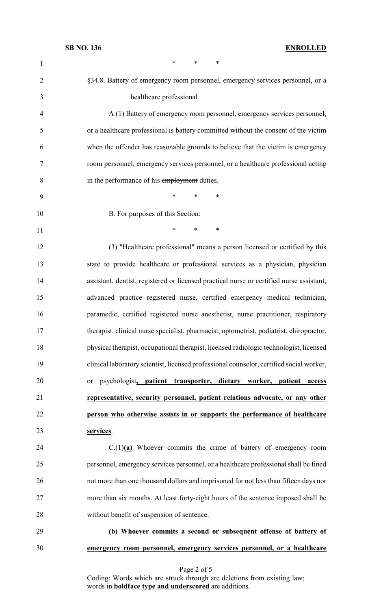| $\mathbf{1}$   | $\ast$<br>*<br>∗                                                                         |
|----------------|------------------------------------------------------------------------------------------|
| $\overline{2}$ | §34.8. Battery of emergency room personnel, emergency services personnel, or a           |
| 3              | healthcare professional                                                                  |
| 4              | A.(1) Battery of emergency room personnel, emergency services personnel,                 |
| 5              | or a healthcare professional is battery committed without the consent of the victim      |
| 6              | when the offender has reasonable grounds to believe that the victim is emergency         |
| 7              | room personnel, emergency services personnel, or a healthcare professional acting        |
| 8              | in the performance of his employment duties.                                             |
| 9              | $\ast$<br>*<br>∗                                                                         |
| 10             | B. For purposes of this Section:                                                         |
| 11             | $\ast$<br>*<br>$\ast$                                                                    |
| 12             | (3) "Healthcare professional" means a person licensed or certified by this               |
| 13             | state to provide healthcare or professional services as a physician, physician           |
| 14             | assistant, dentist, registered or licensed practical nurse or certified nurse assistant, |
| 15             | advanced practice registered nurse, certified emergency medical technician,              |
| 16             | paramedic, certified registered nurse anesthetist, nurse practitioner, respiratory       |
| 17             | therapist, clinical nurse specialist, pharmacist, optometrist, podiatrist, chiropractor, |
| 18             | physical therapist, occupational therapist, licensed radiologic technologist, licensed   |
| 19             | clinical laboratory scientist, licensed professional counselor, certified social worker, |
| 20             | psychologist, patient transporter, dietary worker, patient<br>access<br>or               |
| 21             | representative, security personnel, patient relations advocate, or any other             |
| 22             | person who otherwise assists in or supports the performance of healthcare                |
| 23             | services.                                                                                |
| 24             | $C(1)(a)$ Whoever commits the crime of battery of emergency room                         |
| 25             | personnel, emergency services personnel, or a healthcare professional shall be fined     |
| 26             | not more than one thousand dollars and imprisoned for not less than fifteen days nor     |
| 27             | more than six months. At least forty-eight hours of the sentence imposed shall be        |
| 28             | without benefit of suspension of sentence.                                               |
| 29             | (b) Whoever commits a second or subsequent offense of battery of                         |
| 30             | emergency room personnel, emergency services personnel, or a healthcare                  |

Page 2 of 5

Coding: Words which are struck through are deletions from existing law; words in **boldface type and underscored** are additions.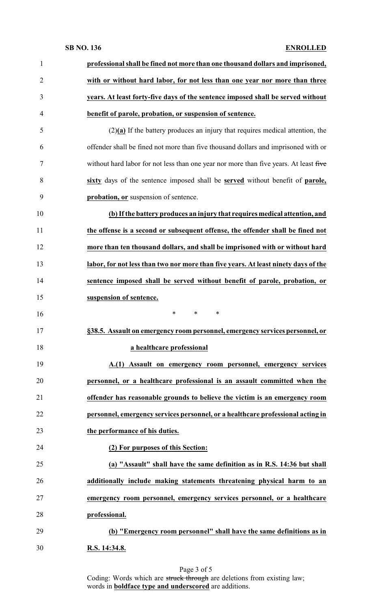## **SB NO. 136 ENROLLED**

| $\mathbf{1}$   | professional shall be fined not more than one thousand dollars and imprisoned,        |
|----------------|---------------------------------------------------------------------------------------|
| $\overline{2}$ | with or without hard labor, for not less than one year nor more than three            |
| 3              | years. At least forty-five days of the sentence imposed shall be served without       |
| 4              | benefit of parole, probation, or suspension of sentence.                              |
| 5              | $(2)(a)$ If the battery produces an injury that requires medical attention, the       |
| 6              | offender shall be fined not more than five thousand dollars and imprisoned with or    |
| 7              | without hard labor for not less than one year nor more than five years. At least five |
| 8              | sixty days of the sentence imposed shall be served without benefit of parole,         |
| 9              | probation, or suspension of sentence.                                                 |
| 10             | (b) If the battery produces an injury that requires medical attention, and            |
| 11             | the offense is a second or subsequent offense, the offender shall be fined not        |
| 12             | more than ten thousand dollars, and shall be imprisoned with or without hard          |
| 13             | labor, for not less than two nor more than five years. At least ninety days of the    |
| 14             | sentence imposed shall be served without benefit of parole, probation, or             |
| 15             | suspension of sentence.                                                               |
| 16             | $\ast$<br>*<br>∗                                                                      |
| 17             | §38.5. Assault on emergency room personnel, emergency services personnel, or          |
| 18             | a healthcare professional                                                             |
| 19             | A.(1) Assault on emergency room personnel, emergency services                         |
| 20             | personnel, or a healthcare professional is an assault committed when the              |
| 21             | offender has reasonable grounds to believe the victim is an emergency room            |
| 22             | personnel, emergency services personnel, or a healthcare professional acting in       |
| 23             | the performance of his duties.                                                        |
| 24             | (2) For purposes of this Section:                                                     |
| 25             | (a) "Assault" shall have the same definition as in R.S. 14:36 but shall               |
| 26             | additionally include making statements threatening physical harm to an                |
| 27             | emergency room personnel, emergency services personnel, or a healthcare               |
| 28             | professional.                                                                         |
| 29             | (b) "Emergency room personnel" shall have the same definitions as in                  |
| 30             | R.S. 14:34.8.                                                                         |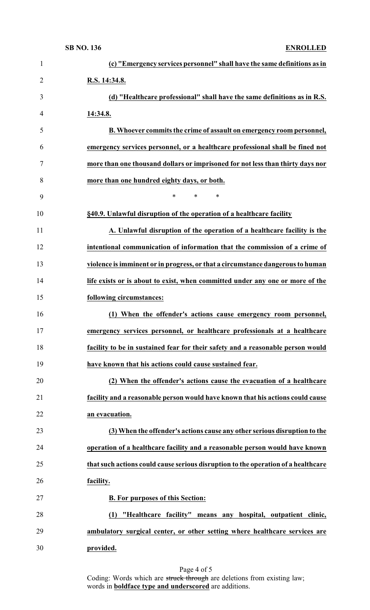| $\mathbf{1}$   | (c) "Emergency services personnel" shall have the same definitions as in          |
|----------------|-----------------------------------------------------------------------------------|
| $\overline{2}$ | R.S. 14:34.8.                                                                     |
| 3              | (d) "Healthcare professional" shall have the same definitions as in R.S.          |
| 4              | 14:34.8.                                                                          |
| 5              | B. Whoever commits the crime of assault on emergency room personnel,              |
| 6              | emergency services personnel, or a healthcare professional shall be fined not     |
| 7              | more than one thousand dollars or imprisoned for not less than thirty days nor    |
| 8              | more than one hundred eighty days, or both.                                       |
| 9              | ∗<br>$\ast$<br>∗                                                                  |
| 10             | §40.9. Unlawful disruption of the operation of a healthcare facility              |
| 11             | A. Unlawful disruption of the operation of a healthcare facility is the           |
| 12             | intentional communication of information that the commission of a crime of        |
| 13             | violence is imminent or in progress, or that a circumstance dangerous to human    |
| 14             | life exists or is about to exist, when committed under any one or more of the     |
| 15             | following circumstances:                                                          |
| 16             | (1) When the offender's actions cause emergency room personnel,                   |
| 17             | emergency services personnel, or healthcare professionals at a healthcare         |
| 18             | facility to be in sustained fear for their safety and a reasonable person would   |
| 19             | have known that his actions could cause sustained fear.                           |
| 20             | (2) When the offender's actions cause the evacuation of a healthcare              |
| 21             | facility and a reasonable person would have known that his actions could cause    |
| 22             | an evacuation.                                                                    |
| 23             | (3) When the offender's actions cause any other serious disruption to the         |
| 24             | operation of a healthcare facility and a reasonable person would have known       |
| 25             | that such actions could cause serious disruption to the operation of a healthcare |
| 26             | facility.                                                                         |
| 27             | <b>B.</b> For purposes of this Section:                                           |
| 28             | "Healthcare facility" means any hospital, outpatient clinic,<br>(1)               |
| 29             | ambulatory surgical center, or other setting where healthcare services are        |
| 30             | provided.                                                                         |